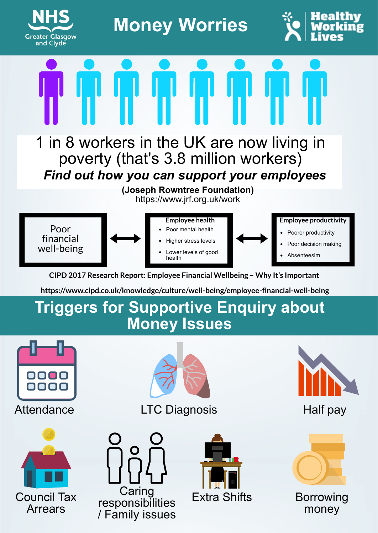

**Money Worries**



Find out how you can support your employees 1 in 8 workers in the UK are now living in poverty (that's 3.8 million workers)

> **(Joseph Rowntree Foundation)** https://www.jrf.org.uk/work



CIPD 2017 Research Report: Employee Financial Wellbeing – Why It's Important

https://www.cipd.co.uk/knowledge/culture/well-being/employee-financial-well-being

## **Triggers for Supportive Enquiry about Money Issues**







LTC Diagnosis Half pay









Borrowing money